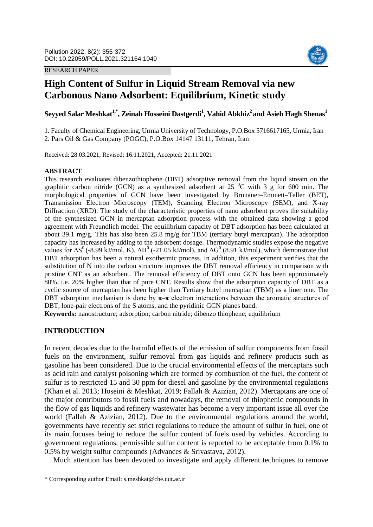RESEARCH PAPER



# **High Content of Sulfur in Liquid Stream Removal via new Carbonous Nano Adsorbent: Equilibrium, Kinetic study**

**Seyyed Salar Meshkat1,\* , Zeinab Hosseini Dastgerdi<sup>1</sup> , Vahid Abkhiz<sup>2</sup>and Asieh Hagh Shenas<sup>1</sup>**

1. Faculty of Chemical Engineering, Urmia University of Technology, P.O.Box 5716617165, Urmia, Iran 2. Pars Oil & Gas Company (POGC), P.O.Box 14147 13111, Tehran, Iran

Received: 28.03.2021, Revised: 16.11.2021, Accepted: 21.11.2021

# **ABSTRACT**

This research evaluates dibenzothiophene (DBT) adsorptive removal from the liquid stream on the graphitic carbon nitride (GCN) as a synthesized adsorbent at  $25\text{ °C}$  with 3 g for 600 min. The morphological properties of GCN have been investigated by Brunauer–Emmett–Teller (BET), Transmission Electron Microscopy (TEM), Scanning Electron Microscopy (SEM), and X-ray Diffraction (XRD). The study of the characteristic properties of nano adsorbent proves the suitability of the synthesized GCN in mercaptan adsorption process with the obtained data showing a good agreement with Freundlich model. The equilibrium capacity of DBT adsorption has been calculated at about 39.1 mg/g. This has also been 25.8 mg/g for TBM (tertiary butyl mercaptan). The adsorption capacity has increased by adding to the adsorbent dosage. Thermodynamic studies expose the negative values for  $\Delta S^0$  (-8.99 kJ/mol. K),  $\Delta H^0$  (-21.05 kJ/mol), and  $\Delta G^0$  (8.91 kJ/mol), which demonstrate that DBT adsorption has been a natural exothermic process. In addition, this experiment verifies that the substitution of N into the carbon structure improves the DBT removal efficiency in comparison with pristine CNT as an adsorbent. The removal efficiency of DBT onto GCN has been approximately 80%, i.e. 20% higher than that of pure CNT. Results show that the adsorption capacity of DBT as a cyclic source of mercaptan has been higher than Tertiary butyl mercaptan (TBM) as a liner one. The DBT adsorption mechanism is done by  $\pi-\pi$  electron interactions between the aromatic structures of DBT, lone-pair electrons of the S atoms, and the pyridinic GCN planes band.

**Keywords:** nanostructure; adsorption; carbon nitride; dibenzo thiophene; equilibrium

# **INTRODUCTION**

<u>.</u>

In recent decades due to the harmful effects of the emission of sulfur components from fossil fuels on the environment, sulfur removal from gas liquids and refinery products such as gasoline has been considered. Due to the crucial environmental effects of the mercaptans such as acid rain and catalyst poisoning which are formed by combustion of the fuel, the content of sulfur is to restricted 15 and 30 ppm for diesel and gasoline by the environmental regulations (Khan et al. 2013; Hoseini & Meshkat, 2019; Fallah & Azizian, 2012). Mercaptans are one of the major contributors to fossil fuels and nowadays, the removal of thiophenic compounds in the flow of gas liquids and refinery wastewater has become a very important issue all over the world (Fallah & Azizian, 2012). Due to the environmental regulations around the world, governments have recently set strict regulations to reduce the amount of sulfur in fuel, one of its main focuses being to reduce the sulfur content of fuels used by vehicles. According to government regulations, permissible sulfur content is reported to be acceptable from 0.1% to 0.5% by weight sulfur compounds (Advances & Srivastava, 2012).

Much attention has been devoted to investigate and apply different techniques to remove

<sup>\*</sup> Corresponding author Email: s.meshkat@che.uut.ac.ir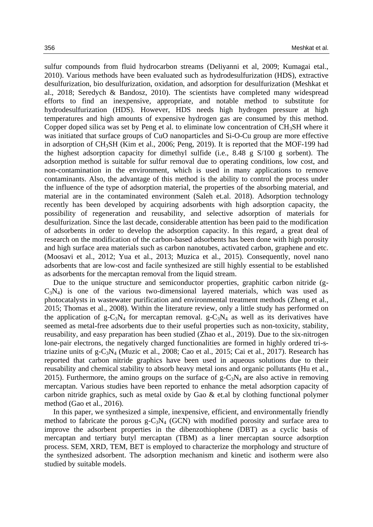sulfur compounds from fluid hydrocarbon streams (Deliyanni et al, 2009; Kumagai etal., 2010). Various methods have been evaluated such as hydrodesulfurization (HDS), extractive desulfurization, bio desulfurization, oxidation, and adsorption for desulfurization (Meshkat et al., 2018; Seredych & Bandosz, 2010). The scientists have completed many widespread efforts to find an inexpensive, appropriate, and notable method to substitute for hydrodesulfurization (HDS). However, HDS needs high hydrogen pressure at high temperatures and high amounts of expensive hydrogen gas are consumed by this method. Copper doped silica was set by Peng et al. to eliminate low concentration of  $CH<sub>3</sub>SH$  where it was initiated that surface groups of CuO nanoparticles and Si-O-Cu group are more effective in adsorption of CH3SH (Kim et al., 2006; Peng, 2019). It is reported that the MOF-199 had the highest adsorption capacity for dimethyl sulfide (i.e., 8.48 g S/100 g sorbent). The adsorption method is suitable for sulfur removal due to operating conditions, low cost, and non-contamination in the environment, which is used in many applications to remove contaminants. Also, the advantage of this method is the ability to control the process under the influence of the type of adsorption material, the properties of the absorbing material, and material are in the contaminated environment (Saleh et.al. 2018). Adsorption technology recently has been developed by acquiring adsorbents with high adsorption capacity, the possibility of regeneration and reusability, and selective adsorption of materials for desulfurization. Since the last decade, considerable attention has been paid to the modification of adsorbents in order to develop the adsorption capacity. In this regard, a great deal of research on the modification of the carbon-based adsorbents has been done with high porosity and high surface area materials such as carbon nanotubes, activated carbon, graphene and etc. (Moosavi et al., 2012; Yua et al., 2013; Muzica et al., 2015). Consequently, novel nano adsorbents that are low-cost and facile synthesized are still highly essential to be established as adsorbents for the mercaptan removal from the liquid stream.

Due to the unique structure and semiconductor properties, graphitic carbon nitride (g- $C_3N_4$ ) is one of the various two-dimensional layered materials, which was used as photocatalysts in wastewater purification and environmental treatment methods (Zheng et al., 2015; Thomas et al., 2008). Within the literature review, only a little study has performed on the application of  $g - C_3N_4$  for mercaptan removal.  $g - C_3N_4$  as well as its derivatives have seemed as metal-free adsorbents due to their useful properties such as non-toxicity, stability, reusability, and easy preparation has been studied (Zhao et al., 2019). Due to the six-nitrogen lone-pair electrons, the negatively charged functionalities are formed in highly ordered tri-striazine units of g- $C_3N_4$  (Muzic et al., 2008; Cao et al., 2015; Cai et al., 2017). Research has reported that carbon nitride graphics have been used in aqueous solutions due to their reusability and chemical stability to absorb heavy metal ions and organic pollutants (Hu et al., 2015). Furthermore, the amino groups on the surface of  $g - C_3N_4$  are also active in removing mercaptan. Various studies have been reported to enhance the metal adsorption capacity of carbon nitride graphics, such as metal oxide by Gao & et.al by clothing functional polymer method (Gao et al., 2016).

In this paper, we synthesized a simple, inexpensive, efficient, and environmentally friendly method to fabricate the porous  $g - C_3N_4$  (GCN) with modified porosity and surface area to improve the adsorbent properties in the dibenzothiophene (DBT) as a cyclic basis of mercaptan and tertiary butyl mercaptan (TBM) as a liner mercaptan source adsorption process. SEM, XRD, TEM, BET is employed to characterize the morphology and structure of the synthesized adsorbent. The adsorption mechanism and kinetic and isotherm were also studied by suitable models.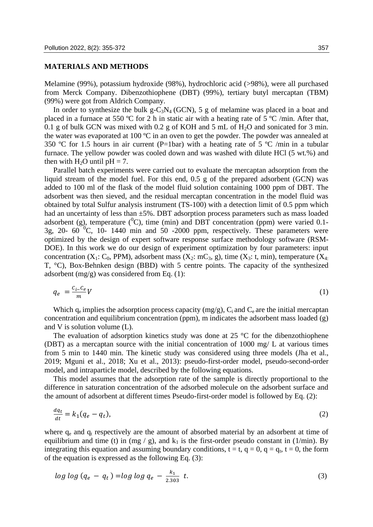# **MATERIALS AND METHODS**

Melamine (99%), potassium hydroxide (98%), hydrochloric acid (>98%), were all purchased from Merck Company. Dibenzothiophene (DBT) (99%), tertiary butyl mercaptan (TBM) (99%) were got from Aldrich Company.

In order to synthesize the bulk  $g-C_3N_4$  (GCN), 5 g of melamine was placed in a boat and placed in a furnace at 550 ºC for 2 h in static air with a heating rate of 5 ºC /min. After that, 0.1 g of bulk GCN was mixed with 0.2 g of KOH and 5 mL of  $H_2O$  and sonicated for 3 min. the water was evaporated at 100 ºC in an oven to get the powder. The powder was annealed at 350 °C for 1.5 hours in air current (P=1bar) with a heating rate of 5 °C /min in a tubular furnace. The yellow powder was cooled down and was washed with dilute HCl (5 wt.%) and then with  $H_2O$  until  $pH = 7$ .

Parallel batch experiments were carried out to evaluate the mercaptan adsorption from the liquid stream of the model fuel. For this end, 0.5 g of the prepared adsorbent (GCN) was added to 100 ml of the flask of the model fluid solution containing 1000 ppm of DBT. The adsorbent was then sieved, and the residual mercaptan concentration in the model fluid was obtained by total Sulfur analysis instrument (TS-100) with a detection limit of 0.5 ppm which had an uncertainty of less than  $\pm 5\%$ . DBT adsorption process parameters such as mass loaded adsorbent (g), temperature  $({}^{0}C)$ , time (min) and DBT concentration (ppm) were varied 0.1-3g, 20-  $60\degree$ C, 10- 1440 min and 50 -2000 ppm, respectively. These parameters were optimized by the design of expert software response surface methodology software (RSM-DOE). In this work we do our design of experiment optimization by four parameters: input concentration (X<sub>1</sub>: C<sub>0</sub>, PPM), adsorbent mass (X<sub>2</sub>: mC<sub>3</sub>, g), time (X<sub>3</sub>: t, min), temperature (X<sub>4</sub>. T, °C), Box-Behnken design (BBD) with 5 centre points. The capacity of the synthesized adsorbent (mg/g) was considered from Eq. (1):

$$
q_e = \frac{c_i - c_e}{m} V \tag{1}
$$

Which  $q_e$  implies the adsorption process capacity (mg/g),  $C_i$  and  $C_e$  are the initial mercaptan concentration and equilibrium concentration (ppm), m indicates the adsorbent mass loaded (g) and V is solution volume (L).

The evaluation of adsorption kinetics study was done at  $25 \degree C$  for the dibenzothiophene (DBT) as a mercaptan source with the initial concentration of 1000 mg/ L at various times from 5 min to 1440 min. The kinetic study was considered using three models (Jha et al., 2019; Mguni et al., 2018; Xu et al., 2013): pseudo-first-order model, pseudo-second-order model, and intraparticle model, described by the following equations.

This model assumes that the adsorption rate of the sample is directly proportional to the difference in saturation concentration of the adsorbed molecule on the adsorbent surface and the amount of adsorbent at different times Pseudo-first-order model is followed by Eq. (2):

$$
\frac{dq_t}{dt} = k_1(q_e - q_t),\tag{2}
$$

where  $q_e$  and  $q_t$  respectively are the amount of absorbed material by an adsorbent at time of equilibrium and time (t) in (mg / g), and  $k_1$  is the first-order pseudo constant in (1/min). By integrating this equation and assuming boundary conditions,  $t = t$ ,  $q = 0$ ,  $q = q_t$ ,  $t = 0$ , the form of the equation is expressed as the following Eq. (3):

$$
log log (q_e - q_t) = log log q_e - \frac{k_1}{2.303} t.
$$
\n(3)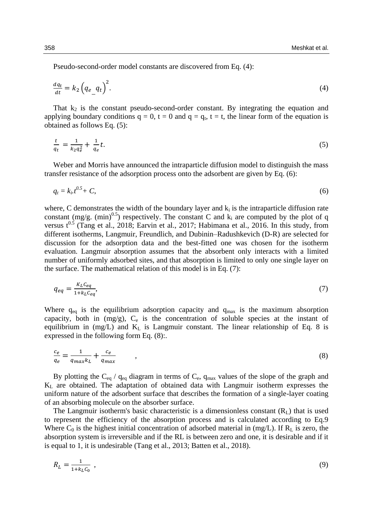Pseudo-second-order model constants are discovered from Eq. (4):

$$
\frac{dq_t}{dt} = k_2 \left( q_e \frac{q_t}{dt} \right)^2. \tag{4}
$$

That  $k_2$  is the constant pseudo-second-order constant. By integrating the equation and applying boundary conditions  $q = 0$ ,  $t = 0$  and  $q = q_t$ ,  $t = t$ , the linear form of the equation is obtained as follows Eq. (5):

$$
\frac{t}{q_t} = \frac{1}{k_2 q_e^2} + \frac{1}{q_e} t. \tag{5}
$$

Weber and Morris have announced the intraparticle diffusion model to distinguish the mass transfer resistance of the adsorption process onto the adsorbent are given by Eq. (6):

$$
q_t = k_i t^{0.5} + C,\tag{6}
$$

where, C demonstrates the width of the boundary layer and  $k_i$  is the intraparticle diffusion rate constant (mg/g. (min)<sup>0.5</sup>) respectively. The constant C and  $k_i$  are computed by the plot of q versus  $t^{0.5}$  (Tang et al., 2018; Earvin et al., 2017; Habimana et al., 2016. In this study, from different isotherms, Langmuir, Freundlich, and Dubinin–Radushkevich (D-R) are selected for discussion for the adsorption data and the best-fitted one was chosen for the isotherm evaluation. Langmuir absorption assumes that the absorbent only interacts with a limited number of uniformly adsorbed sites, and that absorption is limited to only one single layer on the surface. The mathematical relation of this model is in Eq. (7):

$$
q_{eq} = \frac{K_L C_{eq}}{1 + k_L C_{eq}},\tag{7}
$$

Where  $q_{eq}$  is the equilibrium adsorption capacity and  $q_{max}$  is the maximum absorption capacity, both in  $(mg/g)$ ,  $C_e$  is the concentration of soluble species at the instant of equilibrium in  $(mg/L)$  and  $K_L$  is Langmuir constant. The linear relationship of Eq. 8 is expressed in the following form Eq. (8):.

$$
\frac{c_e}{q_e} = \frac{1}{q_{max}k_L} + \frac{c_e}{q_{max}} \qquad , \qquad (8)
$$

By plotting the  $C_{eq}$  /  $q_{eq}$  diagram in terms of  $C_{e}$ ,  $q_{max}$  values of the slope of the graph and  $K<sub>L</sub>$  are obtained. The adaptation of obtained data with Langmuir isotherm expresses the uniform nature of the adsorbent surface that describes the formation of a single-layer coating of an absorbing molecule on the absorber surface.

The Langmuir isotherm's basic characteristic is a dimensionless constant  $(R<sub>L</sub>)$  that is used to represent the efficiency of the absorption process and is calculated according to Eq.9 Where  $C_0$  is the highest initial concentration of adsorbed material in (mg/L). If R<sub>L</sub> is zero, the absorption system is irreversible and if the RL is between zero and one, it is desirable and if it is equal to 1, it is undesirable (Tang et al., 2013; Batten et al., 2018).

$$
R_L = \frac{1}{1 + k_L c_0} \tag{9}
$$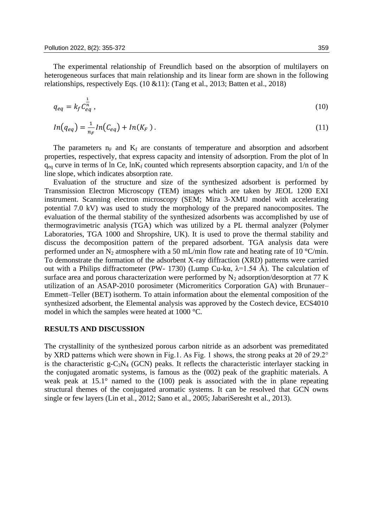The experimental relationship of Freundlich based on the absorption of multilayers on heterogeneous surfaces that main relationship and its linear form are shown in the following relationships, respectively Eqs. (10 &11): (Tang et al., 2013; Batten et al., 2018)

$$
q_{eq} = k_f \overline{c}_{eq}^{\frac{1}{n}} \,, \tag{10}
$$

$$
ln(q_{eq}) = \frac{1}{n_F} ln(C_{eq}) + ln(K_F)
$$
 (11)

The parameters  $n_F$  and  $K_f$  are constants of temperature and absorption and adsorbent properties, respectively, that express capacity and intensity of adsorption. From the plot of ln  $q_{eq}$  curve in terms of ln Ce, lnK<sub>f</sub> counted which represents absorption capacity, and 1/n of the line slope, which indicates absorption rate.

Evaluation of the structure and size of the synthesized adsorbent is performed by Transmission Electron Microscopy (TEM) images which are taken by JEOL 1200 EXI instrument. Scanning electron microscopy (SEM; Mira 3-XMU model with accelerating potential 7.0 kV) was used to study the morphology of the prepared nanocomposites. The evaluation of the thermal stability of the synthesized adsorbents was accomplished by use of thermogravimetric analysis (TGA) which was utilized by a PL thermal analyzer (Polymer Laboratories, TGA 1000 and Shropshire, UK). It is used to prove the thermal stability and discuss the decomposition pattern of the prepared adsorbent. TGA analysis data were performed under an N<sub>2</sub> atmosphere with a 50 mL/min flow rate and heating rate of 10 °C/min. To demonstrate the formation of the adsorbent X-ray diffraction (XRD) patterns were carried out with a Philips diffractometer (PW- 1730) (Lump Cu-kα,  $λ=1.54$  Å). The calculation of surface area and porous characterization were performed by  $N_2$  adsorption/desorption at 77 K utilization of an ASAP-2010 porosimeter (Micromeritics Corporation GA) with Brunauer– Emmett–Teller (BET) isotherm. To attain information about the elemental composition of the synthesized adsorbent, the Elemental analysis was approved by the Costech device, ECS4010 model in which the samples were heated at 1000 °C.

#### **RESULTS AND DISCUSSION**

The crystallinity of the synthesized porous carbon nitride as an adsorbent was premeditated by XRD patterns which were shown in Fig.1. As Fig. 1 shows, the strong peaks at 2θ of 29.2° is the characteristic g-C<sub>3</sub>N<sub>4</sub> (GCN) peaks. It reflects the characteristic interlayer stacking in the conjugated aromatic systems, is famous as the (002) peak of the graphitic materials. A weak peak at 15.1° named to the (100) peak is associated with the in plane repeating structural themes of the conjugated aromatic systems. It can be resolved that GCN owns single or few layers (Lin et al., 2012; Sano et al., 2005; JabariSeresht et al., 2013).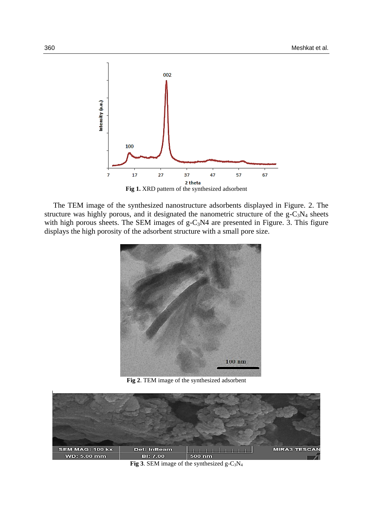

**Fig 1.** XRD pattern of the synthesized adsorbent

The TEM image of the synthesized nanostructure adsorbents displayed in Figure. 2. The structure was highly porous, and it designated the nanometric structure of the  $g - C_3N_4$  sheets with high porous sheets. The SEM images of  $g-C_3N4$  are presented in Figure. 3. This figure displays the high porosity of the adsorbent structure with a small pore size.



**Fig 2**. TEM image of the synthesized adsorbent



**Fig 3.** SEM image of the synthesized g- $C_3N_4$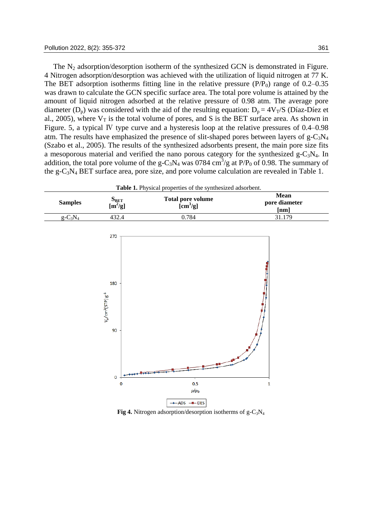The  $N_2$  adsorption/desorption isotherm of the synthesized GCN is demonstrated in Figure. 4 Nitrogen adsorption/desorption was achieved with the utilization of liquid nitrogen at 77 K. The BET adsorption isotherms fitting line in the relative pressure  $(P/P_0)$  range of 0.2–0.35 was drawn to calculate the GCN specific surface area. The total pore volume is attained by the amount of liquid nitrogen adsorbed at the relative pressure of 0.98 atm. The average pore diameter (D<sub>p</sub>) was considered with the aid of the resulting equation:  $D_p = 4V_T/S$  (Díaz-Díez et al., 2005), where  $V_T$  is the total volume of pores, and S is the BET surface area. As shown in Figure. 5, a typical Ⅳ type curve and a hysteresis loop at the relative pressures of 0.4–0.98 atm. The results have emphasized the presence of slit-shaped pores between layers of  $g-C_3N_4$ (Szabo et al., 2005). The results of the synthesized adsorbents present, the main pore size fits a mesoporous material and verified the nano porous category for the synthesized  $g-C_3N_4$ . In addition, the total pore volume of the g-C<sub>3</sub>N<sub>4</sub> was 0784 cm<sup>3</sup>/g at P/P<sub>0</sub> of 0.98. The summary of the g-C<sub>3</sub>N<sub>4</sub> BET surface area, pore size, and pore volume calculation are revealed in Table 1.

| <b>Table 1.</b> Physical properties of the synthesized adsorbent. |                                  |                                               |                                      |  |  |
|-------------------------------------------------------------------|----------------------------------|-----------------------------------------------|--------------------------------------|--|--|
| <b>Samples</b>                                                    | $S_{BET}$<br>[m <sup>2</sup> /g] | Total pore volume<br>$[\text{cm}^3/\text{g}]$ | <b>Mean</b><br>pore diameter<br>[nm] |  |  |
| $g - C_3 N_4$                                                     | 432.4                            | 0.784                                         | 31.179                               |  |  |



**Fig 4.** Nitrogen adsorption/desorption isotherms of  $g - C_3N_4$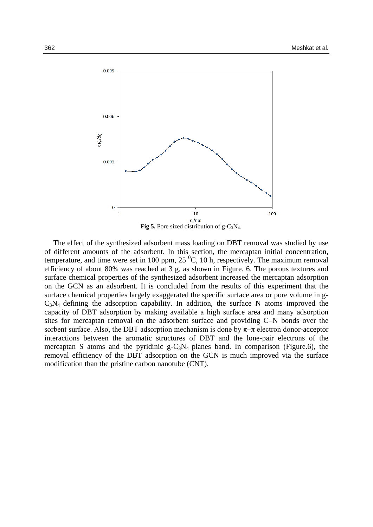

The effect of the synthesized adsorbent mass loading on DBT removal was studied by use of different amounts of the adsorbent. In this section, the mercaptan initial concentration, temperature, and time were set in 100 ppm, 25 $\mathrm{^{0}C}$ , 10 h, respectively. The maximum removal efficiency of about 80% was reached at 3 g, as shown in Figure. 6. The porous textures and surface chemical properties of the synthesized adsorbent increased the mercaptan adsorption on the GCN as an adsorbent. It is concluded from the results of this experiment that the surface chemical properties largely exaggerated the specific surface area or pore volume in g- $C_3N_4$  defining the adsorption capability. In addition, the surface N atoms improved the capacity of DBT adsorption by making available a high surface area and many adsorption sites for mercaptan removal on the adsorbent surface and providing C–N bonds over the sorbent surface. Also, the DBT adsorption mechanism is done by  $\pi-\pi$  electron donor-acceptor interactions between the aromatic structures of DBT and the lone-pair electrons of the mercaptan S atoms and the pyridinic  $g - C_3N_4$  planes band. In comparison (Figure.6), the removal efficiency of the DBT adsorption on the GCN is much improved via the surface modification than the pristine carbon nanotube (CNT).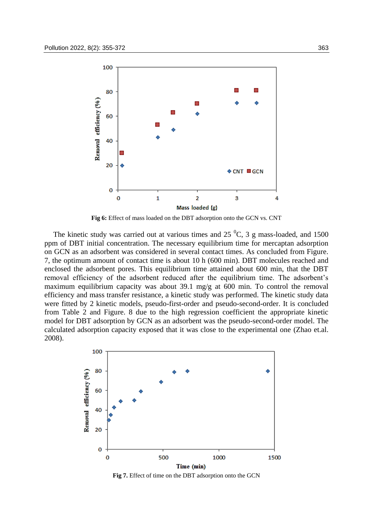

**Fig 6:** Effect of mass loaded on the DBT adsorption onto the GCN vs. CNT

The kinetic study was carried out at various times and  $25\,^0C$ , 3 g mass-loaded, and 1500 ppm of DBT initial concentration. The necessary equilibrium time for mercaptan adsorption on GCN as an adsorbent was considered in several contact times. As concluded from Figure. 7, the optimum amount of contact time is about 10 h (600 min). DBT molecules reached and enclosed the adsorbent pores. This equilibrium time attained about 600 min, that the DBT removal efficiency of the adsorbent reduced after the equilibrium time. The adsorbent's maximum equilibrium capacity was about 39.1 mg/g at 600 min. To control the removal efficiency and mass transfer resistance, a kinetic study was performed. The kinetic study data were fitted by 2 kinetic models, pseudo-first-order and pseudo-second-order. It is concluded from Table 2 and Figure. 8 due to the high regression coefficient the appropriate kinetic model for DBT adsorption by GCN as an adsorbent was the pseudo-second-order model. The calculated adsorption capacity exposed that it was close to the experimental one (Zhao et.al. 2008).



**Fig 7.** Effect of time on the DBT adsorption onto the GCN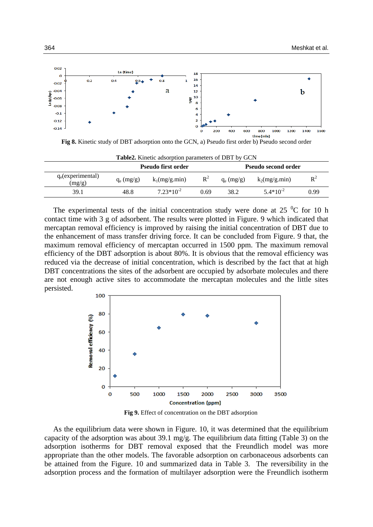

**Fig 8.** Kinetic study of DBT adsorption onto the GCN, a) Pseudo first order b) Pseudo second order

|                                |              | <b>Pseudo first order</b> |       | <b>Pseudo second order</b> |                 |                |  |
|--------------------------------|--------------|---------------------------|-------|----------------------------|-----------------|----------------|--|
| $q_e$ (experimental)<br>(mg/g) | $q_e$ (mg/g) | $k_1(mg/g.min)$           | $R^2$ | $q_e$ (mg/g)               | $k_2(mg/g.min)$ | $\mathbf{R}^2$ |  |
| 39.1                           | 48.8         | $7.23*10^{-2}$            | 0.69  | 38.2                       | $5.4*10^{-2}$   | 0.99           |  |

**Table2.** Kinetic adsorption parameters of DBT by GCN

The experimental tests of the initial concentration study were done at 25  $\mathrm{^{0}C}$  for 10 h contact time with 3 g of adsorbent. The results were plotted in Figure. 9 which indicated that mercaptan removal efficiency is improved by raising the initial concentration of DBT due to the enhancement of mass transfer driving force. It can be concluded from Figure. 9 that, the maximum removal efficiency of mercaptan occurred in 1500 ppm. The maximum removal efficiency of the DBT adsorption is about 80%. It is obvious that the removal efficiency was reduced via the decrease of initial concentration, which is described by the fact that at high DBT concentrations the sites of the adsorbent are occupied by adsorbate molecules and there are not enough active sites to accommodate the mercaptan molecules and the little sites persisted.



**Fig 9.** Effect of concentration on the DBT adsorption

As the equilibrium data were shown in Figure. 10, it was determined that the equilibrium capacity of the adsorption was about 39.1 mg/g. The equilibrium data fitting (Table 3) on the adsorption isotherms for DBT removal exposed that the Freundlich model was more appropriate than the other models. The favorable adsorption on carbonaceous adsorbents can be attained from the Figure. 10 and summarized data in Table 3. The reversibility in the adsorption process and the formation of multilayer adsorption were the Freundlich isotherm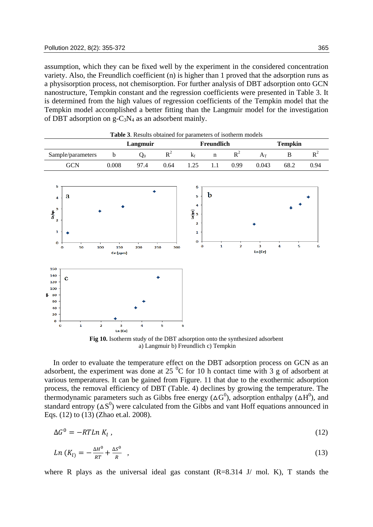assumption, which they can be fixed well by the experiment in the considered concentration variety. Also, the Freundlich coefficient (n) is higher than 1 proved that the adsorption runs as a physisorption process, not chemisorption. For further analysis of DBT adsorption onto GCN nanostructure, Tempkin constant and the regression coefficients were presented in Table 3. It is determined from the high values of regression coefficients of the Tempkin model that the Tempkin model accomplished a better fitting than the Langmuir model for the investigation of DBT adsorption on  $g-C_3N_4$  as an adsorbent mainly.

| <b>Table 3.</b> Results obtained for parameters of isotherm models |       |          |       |     |            |      |       |         |      |
|--------------------------------------------------------------------|-------|----------|-------|-----|------------|------|-------|---------|------|
|                                                                    |       | Langmuir |       |     | Freundlich |      |       | Tempkin |      |
| Sample/parameters                                                  |       | $Q_0$    | $R^2$ |     |            |      |       |         |      |
| <b>GCN</b>                                                         | 0.008 | 97.4     | 0.64  | 125 |            | O 99 | 0.043 | 68.2    | 0.94 |



a) Langmuir b) Freundlich c) Tempkin

In order to evaluate the temperature effect on the DBT adsorption process on GCN as an adsorbent, the experiment was done at  $25\text{ °C}$  for 10 h contact time with 3 g of adsorbent at various temperatures. It can be gained from Figure. 11 that due to the exothermic adsorption process, the removal efficiency of DBT (Table. 4) declines by growing the temperature. The thermodynamic parameters such as Gibbs free energy ( $\Delta G^0$ ), adsorption enthalpy ( $\Delta H^0$ ), and standard entropy  $(\Delta S^0)$  were calculated from the Gibbs and vant Hoff equations announced in Eqs. (12) to (13) (Zhao et.al. 2008).

$$
\Delta G^0 = -RTLn K_l \,, \tag{12}
$$

$$
Ln (K_{l}) = -\frac{\Delta H^0}{RT} + \frac{\Delta S^0}{R} \quad , \tag{13}
$$

where R plays as the universal ideal gas constant  $(R=8.314 \text{ J/mol}$  mol. K), T stands the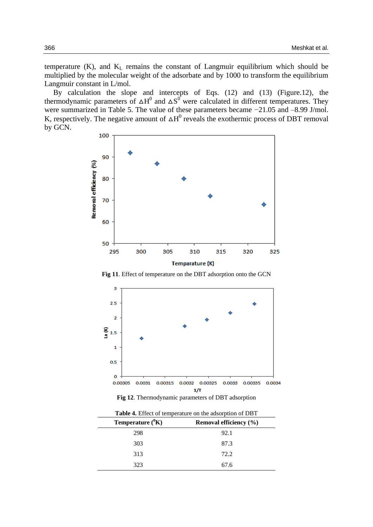temperature  $(K)$ , and  $K<sub>L</sub>$  remains the constant of Langmuir equilibrium which should be multiplied by the molecular weight of the adsorbate and by 1000 to transform the equilibrium Langmuir constant in L/mol.

By calculation the slope and intercepts of Eqs. (12) and (13) (Figure.12), the thermodynamic parameters of  $\Delta H^0$  and  $\Delta S^0$  were calculated in different temperatures. They were summarized in Table 5. The value of these parameters became −21.05 and –8.99 J/mol. K, respectively. The negative amount of  $\Delta H^0$  reveals the exothermic process of DBT removal by GCN.



**Fig 11**. Effect of temperature on the DBT adsorption onto the GCN



**Fig 12**. Thermodynamic parameters of DBT adsorption

| Table 4. Effect of temperature on the adsorption of DBT |
|---------------------------------------------------------|
|                                                         |

| Temperature $({}^{0}K)$ | Removal efficiency (%) |
|-------------------------|------------------------|
| 298                     | 92.1                   |
| 303                     | 87.3                   |
| 313                     | 72.2                   |
| 323                     | 67.6                   |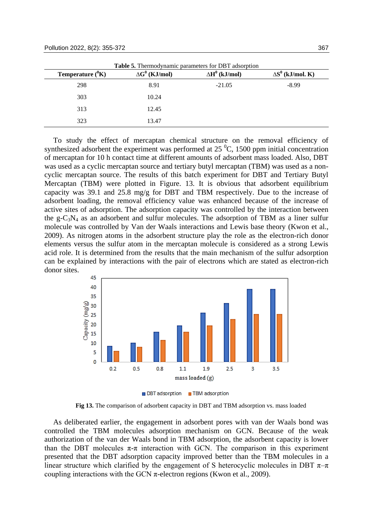|                       | <b>Table 5.</b> Thermodynamic parameters for DBT adsorption |                       |                          |
|-----------------------|-------------------------------------------------------------|-----------------------|--------------------------|
| Temperature $({}^0K)$ | $\Delta G^0$ (KJ/mol)                                       | $\Delta H^0$ (kJ/mol) | $\Delta S^0$ (kJ/mol. K) |
| 298                   | 8.91                                                        | $-21.05$              | $-8.99$                  |
| 303                   | 10.24                                                       |                       |                          |
| 313                   | 12.45                                                       |                       |                          |
| 323                   | 13.47                                                       |                       |                          |

To study the effect of mercaptan chemical structure on the removal efficiency of synthesized adsorbent the experiment was performed at  $25\,^{\circ}$ C, 1500 ppm initial concentration of mercaptan for 10 h contact time at different amounts of adsorbent mass loaded. Also, DBT was used as a cyclic mercaptan source and tertiary butyl mercaptan (TBM) was used as a noncyclic mercaptan source. The results of this batch experiment for DBT and Tertiary Butyl Mercaptan (TBM) were plotted in Figure. 13. It is obvious that adsorbent equilibrium capacity was 39.1 and 25.8 mg/g for DBT and TBM respectively. Due to the increase of adsorbent loading, the removal efficiency value was enhanced because of the increase of active sites of adsorption. The adsorption capacity was controlled by the interaction between the g- $C_3N_4$  as an adsorbent and sulfur molecules. The adsorption of TBM as a liner sulfur molecule was controlled by Van der Waals interactions and Lewis base theory (Kwon et al., 2009). As nitrogen atoms in the adsorbent structure play the role as the electron-rich donor elements versus the sulfur atom in the mercaptan molecule is considered as a strong Lewis acid role. It is determined from the results that the main mechanism of the sulfur adsorption can be explained by interactions with the pair of electrons which are stated as electron-rich donor sites.



DBT adsorption TBM adsorption

**Fig 13.** The comparison of adsorbent capacity in DBT and TBM adsorption vs. mass loaded

As deliberated earlier, the engagement in adsorbent pores with van der Waals bond was controlled the TBM molecules adsorption mechanism on GCN. Because of the weak authorization of the van der Waals bond in TBM adsorption, the adsorbent capacity is lower than the DBT molecules  $\pi$ - $\pi$  interaction with GCN. The comparison in this experiment presented that the DBT adsorption capacity improved better than the TBM molecules in a linear structure which clarified by the engagement of S heterocyclic molecules in DBT  $\pi-\pi$ coupling interactions with the GCN  $\pi$ -electron regions (Kwon et al., 2009).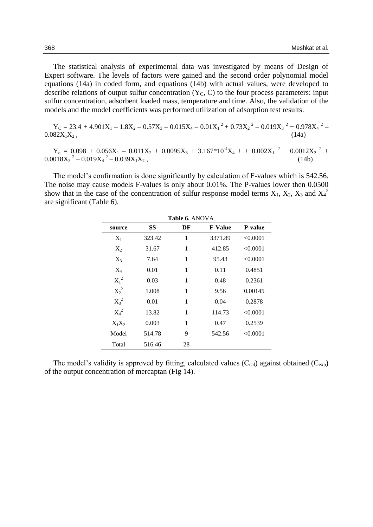The statistical analysis of experimental data was investigated by means of Design of Expert software. The levels of factors were gained and the second order polynomial model equations (14a) in coded form, and equations (14b) with actual values, were developed to describe relations of output sulfur concentration  $(Y_C, C)$  to the four process parameters: input sulfur concentration, adsorbent loaded mass, temperature and time. Also, the validation of the models and the model coefficients was performed utilization of adsorption test results.

$$
Y_C = 23.4 + 4.901X_1 - 1.8X_2 - 0.57X_3 - 0.015X_4 - 0.01X_1^2 + 0.73X_2^2 - 0.019X_3^2 + 0.978X_4^2 - 0.082X_1X_2, \qquad (14a)
$$

 $Y_q = 0.098 + 0.056X_1 - 0.011X_2 + 0.0095X_3 + 3.167*10^4X_4 + + 0.002X_1^2 + 0.0012X_2^2 +$  $0.0018X_3^2 - 0.019X_4^2 - 0.039X_1X_2,$  (14b)

The model's confirmation is done significantly by calculation of F-values which is 542.56. The noise may cause models F-values is only about 0.01%. The P-values lower then 0.0500 show that in the case of the concentration of sulfur response model terms  $X_1$ ,  $X_2$ ,  $X_3$  and  $X_4^2$ are significant (Table 6).

|          | <b>Table 6.</b> ANOVA |    |                |                |  |  |
|----------|-----------------------|----|----------------|----------------|--|--|
| source   | SS                    | DF | <b>F-Value</b> | <b>P-value</b> |  |  |
| $X_1$    | 323.42                | 1  | 3371.89        | < 0.0001       |  |  |
| $X_2$    | 31.67                 | 1  | 412.85         | < 0.0001       |  |  |
| $X_3$    | 7.64                  | 1  | 95.43          | < 0.0001       |  |  |
| $X_4$    | 0.01                  | 1  | 0.11           | 0.4851         |  |  |
| $X_1^2$  | 0.03                  | 1  | 0.48           | 0.2361         |  |  |
| $X_2^2$  | 1.008                 | 1  | 9.56           | 0.00145        |  |  |
| $X_3^2$  | 0.01                  | 1  | 0.04           | 0.2878         |  |  |
| $X_4^2$  | 13.82                 | 1  | 114.73         | < 0.0001       |  |  |
| $X_1X_2$ | 0.003                 | 1  | 0.47           | 0.2539         |  |  |
| Model    | 514.78                | 9  | 542.56         | < 0.0001       |  |  |
| Total    | 516.46                | 28 |                |                |  |  |

The model's validity is approved by fitting, calculated values  $(C_{cal}$ ) against obtained  $(C_{exp})$ of the output concentration of mercaptan (Fig 14).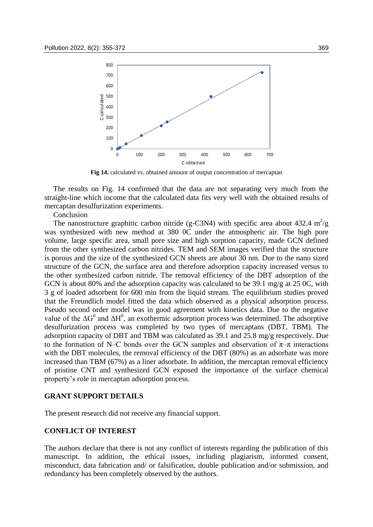

**Fig 14.** calculated vs. obtained amount of output concentration of mercaptan

The results on Fig. 14 confirmed that the data are not separating very much from the straight-line which income that the calculated data fits very well with the obtained results of mercaptan desulfurization experiments.

Conclusion

The nanostructure graphitic carbon nitride (g-C3N4) with specific area about 432.4 m<sup>2</sup>/g was synthesized with new method at 380 0C under the atmospheric air. The high pore volume, large specific area, small pore size and high sorption capacity, made GCN defined from the other synthesized carbon nitrides. TEM and SEM images verified that the structure is porous and the size of the synthesized GCN sheets are about 30 nm. Due to the nano sized structure of the GCN, the surface area and therefore adsorption capacity increased versus to the other synthesized carbon nitride. The removal efficiency of the DBT adsorption of the GCN is about 80% and the adsorption capacity was calculated to be 39.1 mg/g at 25 0C, with 3 g of loaded adsorbent for 600 min from the liquid stream. The equilibrium studies proved that the Freundlich model fitted the data which observed as a physical adsorption process. Pseudo second order model was in good agreement with kinetics data. Due to the negative value of the  $\Delta G^0$  and  $\Delta H^0$ , an exothermic adsorption process was determined. The adsorptive desulfurization process was completed by two types of mercaptans (DBT, TBM). The adsorption capacity of DBT and TBM was calculated as 39.1 and 25.8 mg/g respectively. Due to the formation of N–C bonds over the GCN samples and observation of  $\pi-\pi$  interactions with the DBT molecules, the removal efficiency of the DBT (80%) as an adsorbate was more increased than TBM (67%) as a liner adsorbate. In addition, the mercaptan removal efficiency of pristine CNT and synthesized GCN exposed the importance of the surface chemical property's role in mercaptan adsorption process.

#### **GRANT SUPPORT DETAILS**

The present research did not receive any financial support.

#### **CONFLICT OF INTEREST**

The authors declare that there is not any conflict of interests regarding the publication of this manuscript. In addition, the ethical issues, including plagiarism, informed consent, misconduct, data fabrication and/ or falsification, double publication and/or submission, and redundancy has been completely observed by the authors.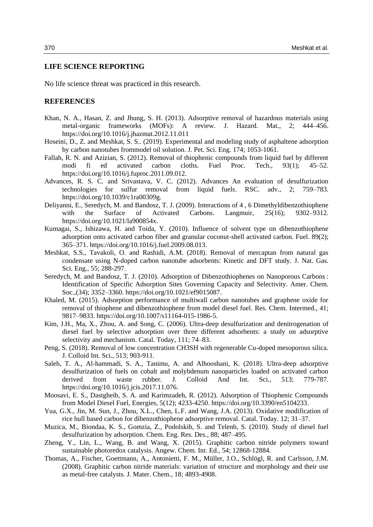# **LIFE SCIENCE REPORTING**

No life science threat was practiced in this research.

#### **REFERENCES**

- Khan, N. A., Hasan, Z. and Jhung, S. H. (2013). Adsorptive removal of hazardous materials using metal-organic frameworks (MOFs): A review. J. Hazard. Mat., 2; 444–456. https://doi.org/10.1016/j.jhazmat.2012.11.011
- Hoseini, D., Z. and Meshkat, S. S.. (2019). Experimental and modeling study of asphaltene adsorption by carbon nanotubes frommodel oil solution. J. Pet. Sci. Eng. 174; 1053-1061.
- Fallah, R. N. and Azizian, S. (2012). Removal of thiophenic compounds from liquid fuel by different modi fi ed activated carbon cloths. Fuel Proc. Tech., 93(1); 45–52. https://doi.org/10.1016/j.fuproc.2011.09.012.
- Advances, R. S. C. and Srivastava, V. C. (2012). Advances An evaluation of desulfurization technologies for sulfur removal from liquid fuels. RSC. adv., 2; 759–783. https://doi.org/10.1039/c1ra00309g.
- Deliyanni, E., Seredych, M. and Bandosz, T. J. (2009). Interactions of 4 , 6 Dimethyldibenzothiophene with the Surface of Activated Carbons. Langmuir, 25(16): 9302–9312. https://doi.org/10.1021/la900854x.
- Kumagai, S., Ishizawa, H. and Toida, Y. (2010). Influence of solvent type on dibenzothiophene adsorption onto activated carbon fiber and granular coconut-shell activated carbon. Fuel. 89(2); 365–371. https://doi.org/10.1016/j.fuel.2009.08.013.
- Meshkat, S.S., Tavakoli, O. and Rashidi, A.M. (2018). Removal of mercaptan from natural gas condensate using N-doped carbon nanotube adsorbents: Kinetic and DFT study. J. Nat. Gas. Sci. Eng., 55; 288-297.
- Seredych, M. and Bandosz, T. J. (2010). Adsorption of Dibenzothiophenes on Nanoporous Carbons : Identification of Specific Adsorption Sites Governing Capacity and Selectivity. Amer. Chem. Soc.,(34); 3352–3360. https://doi.org/10.1021/ef9015087.
- Khaled, M. (2015). Adsorption performance of multiwall carbon nanotubes and graphene oxide for removal of thiophene and dibenzothiophene from model diesel fuel. Res. Chem. Intermed., 41; 9817–9833. https://doi.org/10.1007/s11164-015-1986-5.
- Kim, J.H., Ma, X., Zhou, A. and Song, C. (2006). Ultra-deep desulfurization and denitrogenation of diesel fuel by selective adsorption over three different adsorbents: a study on adsorptive selectivity and mechanism. Catal. Today, 111; 74–83.
- Peng, S. (2018). Removal of low concentration CH3SH with regenerable Cu-doped mesoporous silica. J. Colloid Int. Sci., 513; 903-911.
- Saleh, T. A., Al-hammadi, S. A., Tanimu, A. and Alhooshani, K. (2018). Ultra-deep adsorptive desulfurization of fuels on cobalt and molybdenum nanoparticles loaded on activated carbon derived from waste rubber. J. Colloid And Int. Sci., 513; 779-787. https://doi.org/10.1016/j.jcis.2017.11.076.
- Moosavi, E. S., Dastgheib, S. A. and Karimzadeh, R. (2012). Adsorption of Thiophenic Compounds from Model Diesel Fuel, Energies, 5(12); 4233-4250. https://doi.org/10.3390/en5104233.
- Yua, G.X., Jin, M. Sun, J., Zhou, X.L., Chen, L.F. and Wang, J.A. (2013). Oxidative modification of rice hull based carbon for dibenzothiophene adsorptive removal. Catal. Today. 12; 31–37.
- Muzica, M., Biondaa, K. S., Gomzia, Z., Podolskib, S. and Telenb, S. (2010). Study of diesel fuel desulfurization by adsorption. Chem. Eng. Res. Des., 88; 487–495.
- Zheng, Y., Lin, L., Wang, B. and Wang, X. (2015). Graphitic carbon nitride polymers toward sustainable photoredox catalysis. Angew. Chem. Int. Ed., 54; 12868-12884.
- Thomas, A., Fischer, Goettmann, A., Antonietti, F. M., Müller, J.O., Schlögl, R. and Carlsson, J.M. (2008). Graphitic carbon nitride materials: variation of structure and morphology and their use as metal-free catalysts. J. Mater. Chem., 18; 4893-4908.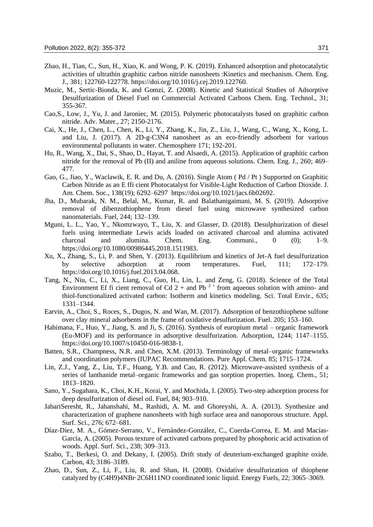- Zhao, H., Tian, C., Sun, H., Xiao, K. and Wong, P. K. (2019). Enhanced adsorption and photocatalytic activities of ultrathin graphitic carbon nitride nanosheets :Kinetics and mechanism. Chem. Eng. J., 381; 122760-122778. https://doi.org/10.1016/j.cej.2019.122760.
- Muzic, M., Sertic-Bionda, K. and Gomzi, Z. (2008). Kinetic and Statistical Studies of Adsorptive Desulfurization of Diesel Fuel on Commercial Activated Carbons Chem. Eng. Technol., 31; 355-367.
- Cao,S., Low, J., Yu, J. and Jaroniec, M. (2015). Polymeric photocatalysts based on graphitic carbon nitride. Adv. Mater., 27; 2150-2176.
- Cai, X., He, J., Chen, L., Chen, K., Li, Y., Zhang, K., Jin, Z., Liu, J., Wang, C., Wang, X., Kong, L. and Liu, J. (2017). A 2D-g-C3N4 nanosheet as an eco-friendly adsorbent for various environmental pollutants in water. Chemosphere 171; 192-201.
- Hu, R., Wang, X., Dai, S., Shao, D., Hayat, T. and Alsaedi, A. (2015). Application of graphitic carbon nitride for the removal of Pb (II) and aniline from aqueous solutions. Chem. Eng. J., 260; 469– 477.
- Gao, G., Jiao, Y., Waclawik, E. R. and Du, A. (2016). Single Atom ( Pd / Pt ) Supported on Graphitic Carbon Nitride as an E ffi cient Photocatalyst for Visible-Light Reduction of Carbon Dioxide. J. Am. Chem. Soc., 138(19); 6292–6297 https://doi.org/10.1021/jacs.6b02692.
- Jha, D., Mubarak, N. M., Belal, M., Kumar, R. and Balathanigaimani, M. S. (2019). Adsorptive removal of dibenzothiophene from diesel fuel using microwave synthesized carbon nanomaterials. Fuel, 244; 132–139.
- Mguni, L. L., Yao, Y., Nkomzwayo, T., Liu, X. and Glasser, D. (2018). Desulphurization of diesel fuels using intermediate Lewis acids loaded on activated charcoal and alumina activated charcoal and alumina. Chem. Eng. Communi., 0 (0); 1–9. https://doi.org/10.1080/00986445.2018.1511983.
- Xu, X., Zhang, S., Li, P. and Shen, Y. (2013). Equilibrium and kinetics of Jet-A fuel desulfurization by selective adsorption at room temperatures. Fuel, 111; 172–179. https://doi.org/10.1016/j.fuel.2013.04.068.
- Tang, N., Niu, C., Li, X., Liang, C., Guo, H., Lin, L. and Zeng, G. (2018). Science of the Total Environment Ef fi cient removal of Cd  $2 +$  and Pb  $2 +$  from aqueous solution with amino- and thiol-functionalized activated carbon: Isotherm and kinetics modeling. Sci. Total Envir., 635; 1331–1344.
- Earvin, A., Choi, S., Roces, S., Dugos, N. and Wan, M. (2017). Adsorption of benzothiophene sulfone over clay mineral adsorbents in the frame of oxidative desulfurization. Fuel. 205; 153–160.
- Habimana, F., Huo, Y., Jiang, S. and Ji, S. (2016). Synthesis of europium metal organic framework (Eu-MOF) and its performance in adsorptive desulfurization. Adsorption, 1244; 1147–1155. https://doi.org/10.1007/s10450-016-9838-1.
- Batten, S.R., Champness, N.R. and Chen, X.M. (2013). Terminology of metal–organic frameworks and coordination polymers (IUPAC Recommendations. Pure Appl. Chem. 85; 1715–1724.
- Lin, Z.J., Yang, Z., Liu, T.F., Huang, Y.B. and Cao, R. (2012). Microwave-assisted synthesis of a series of lanthanide metal–organic frameworks and gas sorption properties. Inorg. Chem., 51; 1813–1820.
- Sano, Y., Sugahara, K., Choi, K.H., Korai, Y. and Mochida, I. (2005). Two-step adsorption process for deep desulfurization of diesel oil. Fuel, 84; 903–910.
- JabariSeresht, R., Jahanshahi, M., Rashidi, A. M. and Ghoreyshi, A. A. (2013). Synthesize and characterization of graphene nanosheets with high surface area and nanoporous structure. Appl. Surf. Sci., 276; 672–681.
- Díaz-Díez, M. A., Gómez-Serrano, V., Fernández-González, C., Cuerda-Correa, E. M. and Macías-García, A. (2005). Porous texture of activated carbons prepared by phosphoric acid activation of woods. Appl. Surf. Sci., 238; 309–313.
- Szabo, T., Berkesi, O. and Dekany, I. (2005). Drift study of deuterium-exchanged graphite oxide. Carbon, 43; 3186–3189.
- Zhao, D., Sun, Z., Li, F., Liu, R. and Shan, H. (2008). Oxidative desulfurization of thiophene catalyzed by (C4H9)4NBr·2C6H11NO coordinated ionic liquid. Energy Fuels, 22; 3065–3069.